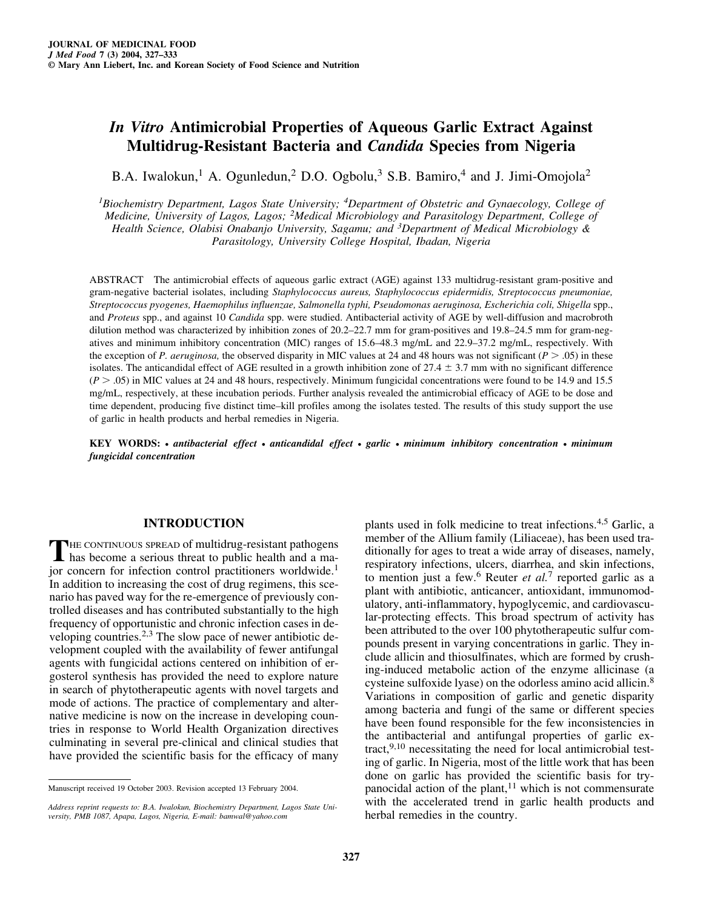# *In Vitro* **Antimicrobial Properties of Aqueous Garlic Extract Against Multidrug-Resistant Bacteria and** *Candida* **Species from Nigeria**

B.A. Iwalokun,<sup>1</sup> A. Ogunledun,<sup>2</sup> D.O. Ogbolu,<sup>3</sup> S.B. Bamiro,<sup>4</sup> and J. Jimi-Omojola<sup>2</sup>

*<sup>1</sup>Biochemistry Department, Lagos State University; 4Department of Obstetric and Gynaecology, College of Medicine, University of Lagos, Lagos; 2Medical Microbiology and Parasitology Department, College of Health Science, Olabisi Onabanjo University, Sagamu; and 3Department of Medical Microbiology & Parasitology, University College Hospital, Ibadan, Nigeria*

ABSTRACT The antimicrobial effects of aqueous garlic extract (AGE) against 133 multidrug-resistant gram-positive and gram-negative bacterial isolates, including *Staphylococcus aureus, Staphylococcus epidermidis, Streptococcus pneumoniae, Streptococcus pyogenes, Haemophilus influenzae, Salmonella typhi, Pseudomonas aeruginosa, Escherichia coli, Shigella* spp., and *Proteus* spp., and against 10 *Candida* spp. were studied. Antibacterial activity of AGE by well-diffusion and macrobroth dilution method was characterized by inhibition zones of 20.2–22.7 mm for gram-positives and 19.8–24.5 mm for gram-negatives and minimum inhibitory concentration (MIC) ranges of 15.6–48.3 mg/mL and 22.9–37.2 mg/mL, respectively. With the exception of *P. aeruginosa*, the observed disparity in MIC values at 24 and 48 hours was not significant  $(P > .05)$  in these isolates. The anticandidal effect of AGE resulted in a growth inhibition zone of  $27.4 \pm 3.7$  mm with no significant difference  $(P > .05)$  in MIC values at 24 and 48 hours, respectively. Minimum fungicidal concentrations were found to be 14.9 and 15.5 mg/mL, respectively, at these incubation periods. Further analysis revealed the antimicrobial efficacy of AGE to be dose and time dependent, producing five distinct time–kill profiles among the isolates tested. The results of this study support the use of garlic in health products and herbal remedies in Nigeria.

**KEY WORDS:** *• antibacterial effect • anticandidal effect • garlic • minimum inhibitory concentration • minimum fungicidal concentration*

# **INTRODUCTION**

THE CONTINUOUS SPREAD of multidrug-resistant pathogens<br>has become a serious threat to public health and a mahas become a serious threat to public health and a major concern for infection control practitioners worldwide.<sup>1</sup> In addition to increasing the cost of drug regimens, this scenario has paved way for the re-emergence of previously controlled diseases and has contributed substantially to the high frequency of opportunistic and chronic infection cases in developing countries.2,3 The slow pace of newer antibiotic development coupled with the availability of fewer antifungal agents with fungicidal actions centered on inhibition of ergosterol synthesis has provided the need to explore nature in search of phytotherapeutic agents with novel targets and mode of actions. The practice of complementary and alternative medicine is now on the increase in developing countries in response to World Health Organization directives culminating in several pre-clinical and clinical studies that have provided the scientific basis for the efficacy of many

plants used in folk medicine to treat infections.4,5 Garlic, a member of the Allium family (Liliaceae), has been used traditionally for ages to treat a wide array of diseases, namely, respiratory infections, ulcers, diarrhea, and skin infections, to mention just a few.<sup>6</sup> Reuter *et al.*<sup>7</sup> reported garlic as a plant with antibiotic, anticancer, antioxidant, immunomodulatory, anti-inflammatory, hypoglycemic, and cardiovascular-protecting effects. This broad spectrum of activity has been attributed to the over 100 phytotherapeutic sulfur compounds present in varying concentrations in garlic. They include allicin and thiosulfinates, which are formed by crushing-induced metabolic action of the enzyme allicinase (a cysteine sulfoxide lyase) on the odorless amino acid allicin.<sup>8</sup> Variations in composition of garlic and genetic disparity among bacteria and fungi of the same or different species have been found responsible for the few inconsistencies in the antibacterial and antifungal properties of garlic ex- $\text{tract},^{9,10}$  necessitating the need for local antimicrobial testing of garlic. In Nigeria, most of the little work that has been done on garlic has provided the scientific basis for trypanocidal action of the plant, $11$  which is not commensurate with the accelerated trend in garlic health products and herbal remedies in the country.

Manuscript received 19 October 2003. Revision accepted 13 February 2004.

*Address reprint requests to: B.A. Iwalokun, Biochemistry Department, Lagos State University, PMB 1087, Apapa, Lagos, Nigeria, E-mail: bamwal@yahoo.com*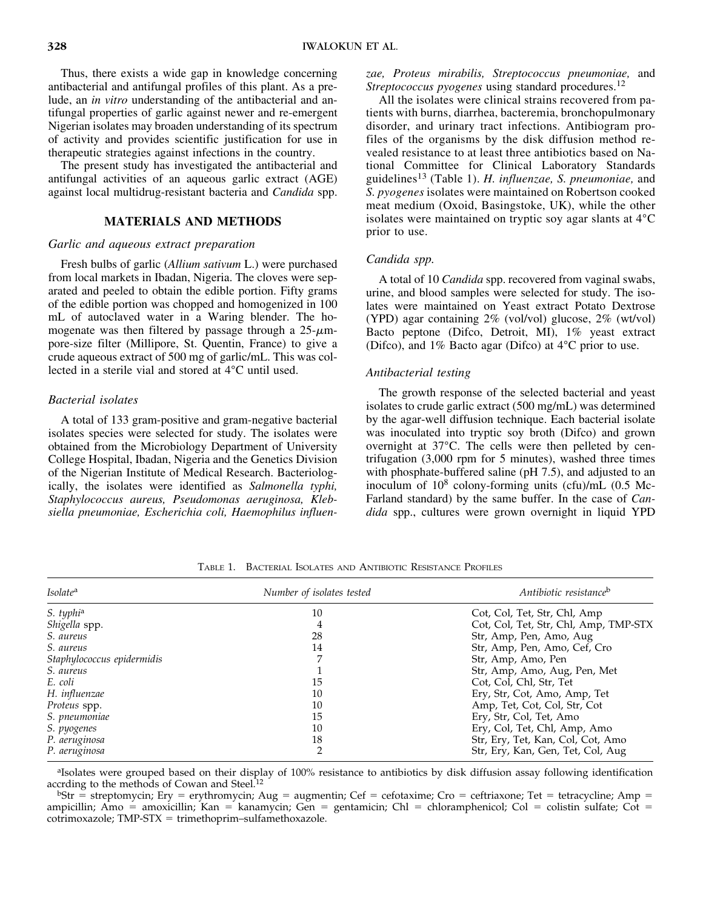Thus, there exists a wide gap in knowledge concerning antibacterial and antifungal profiles of this plant. As a prelude, an *in vitro* understanding of the antibacterial and antifungal properties of garlic against newer and re-emergent Nigerian isolates may broaden understanding of its spectrum of activity and provides scientific justification for use in therapeutic strategies against infections in the country.

The present study has investigated the antibacterial and antifungal activities of an aqueous garlic extract (AGE) against local multidrug-resistant bacteria and *Candida* spp.

# **MATERIALS AND METHODS**

# *Garlic and aqueous extract preparation*

Fresh bulbs of garlic (*Allium sativum* L.) were purchased from local markets in Ibadan, Nigeria. The cloves were separated and peeled to obtain the edible portion. Fifty grams of the edible portion was chopped and homogenized in 100 mL of autoclaved water in a Waring blender. The homogenate was then filtered by passage through a  $25-\mu m$ pore-size filter (Millipore, St. Quentin, France) to give a crude aqueous extract of 500 mg of garlic/mL. This was collected in a sterile vial and stored at 4°C until used.

# *Bacterial isolates*

A total of 133 gram-positive and gram-negative bacterial isolates species were selected for study. The isolates were obtained from the Microbiology Department of University College Hospital, Ibadan, Nigeria and the Genetics Division of the Nigerian Institute of Medical Research. Bacteriologically, the isolates were identified as *Salmonella typhi, Staphylococcus aureus, Pseudomonas aeruginosa, Klebsiella pneumoniae, Escherichia coli, Haemophilus influen-* *zae, Proteus mirabilis, Streptococcus pneumoniae,* and *Streptococcus pyogenes* using standard procedures.<sup>12</sup>

All the isolates were clinical strains recovered from patients with burns, diarrhea, bacteremia, bronchopulmonary disorder, and urinary tract infections. Antibiogram profiles of the organisms by the disk diffusion method revealed resistance to at least three antibiotics based on National Committee for Clinical Laboratory Standards guidelines<sup>13</sup> (Table 1). *H. influenzae, S. pneumoniae,* and *S. pyogenes* isolates were maintained on Robertson cooked meat medium (Oxoid, Basingstoke, UK), while the other isolates were maintained on tryptic soy agar slants at 4°C prior to use.

### *Candida spp.*

A total of 10 *Candida* spp. recovered from vaginal swabs, urine, and blood samples were selected for study. The isolates were maintained on Yeast extract Potato Dextrose (YPD) agar containing 2% (vol/vol) glucose, 2% (wt/vol) Bacto peptone (Difco, Detroit, MI), 1% yeast extract (Difco), and 1% Bacto agar (Difco) at 4°C prior to use.

### *Antibacterial testing*

The growth response of the selected bacterial and yeast isolates to crude garlic extract (500 mg/mL) was determined by the agar-well diffusion technique. Each bacterial isolate was inoculated into tryptic soy broth (Difco) and grown overnight at 37°C. The cells were then pelleted by centrifugation (3,000 rpm for 5 minutes), washed three times with phosphate-buffered saline (pH 7.5), and adjusted to an inoculum of 10<sup>8</sup> colony-forming units (cfu)/mL (0.5 Mc-Farland standard) by the same buffer. In the case of *Candida* spp., cultures were grown overnight in liquid YPD

| Isolate <sup>a</sup>       | Number of isolates tested | Antibiotic resistance <sup>b</sup>    |
|----------------------------|---------------------------|---------------------------------------|
| S. typhi <sup>a</sup>      | 10                        | Cot, Col, Tet, Str, Chl, Amp          |
| Shigella spp.              |                           | Cot, Col, Tet, Str, Chl, Amp, TMP-STX |
| S. aureus                  | 28                        | Str, Amp, Pen, Amo, Aug               |
| S. aureus                  | 14                        | Str, Amp, Pen, Amo, Cef, Cro          |
| Staphylococcus epidermidis |                           | Str, Amp, Amo, Pen                    |
| S. aureus                  |                           | Str, Amp, Amo, Aug, Pen, Met          |
| E. coli                    | 15                        | Cot, Col, Chl, Str, Tet               |
| H. influenzae              | 10                        | Ery, Str, Cot, Amo, Amp, Tet          |
| Proteus spp.               | 10                        | Amp, Tet, Cot, Col, Str, Cot          |
| S. pneumoniae              | 15                        | Ery, Str, Col, Tet, Amo               |
| S. pyogenes                | 10                        | Ery, Col, Tet, Chl, Amp, Amo          |
| P. aeruginosa              | 18                        | Str, Ery, Tet, Kan, Col, Cot, Amo     |
| P. aeruginosa              |                           | Str, Ery, Kan, Gen, Tet, Col, Aug     |

TABLE 1. BACTERIAL ISOLATES AND ANTIBIOTIC RESISTANCE PROFILES

a<sup>I</sup>solates were grouped based on their display of 100% resistance to antibiotics by disk diffusion assay following identification accrding to the methods of Cowan and Steel.<sup>12</sup>

 $b$ Str = streptomycin; Ery = erythromycin; Aug = augmentin; Cef = cefotaxime; Cro = ceftriaxone; Tet = tetracycline; Amp = ampicillin; Amo = amoxicillin; Kan = kanamycin; Gen = gentamicin; Chl = chloramphenicol; Col = colistin sulfate; Cot =  $cotrimoxazole$ ; TMP-STX = trimethoprim–sulfamethoxazole.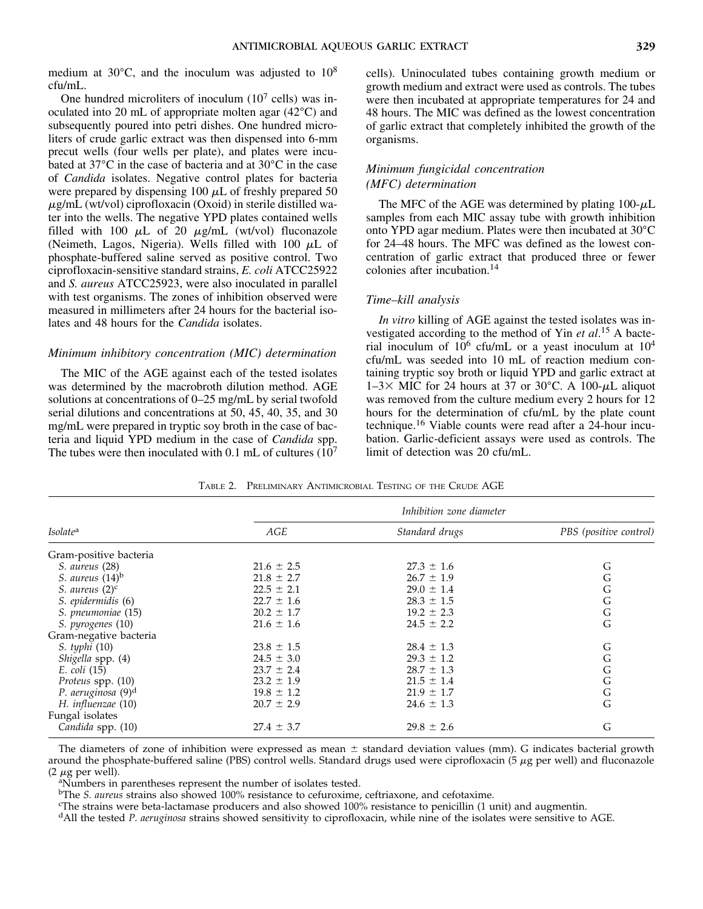medium at  $30^{\circ}$ C, and the inoculum was adjusted to  $10^8$ cfu/mL.

One hundred microliters of inoculum  $(10<sup>7</sup>$  cells) was inoculated into 20 mL of appropriate molten agar (42°C) and subsequently poured into petri dishes. One hundred microliters of crude garlic extract was then dispensed into 6-mm precut wells (four wells per plate), and plates were incubated at 37°C in the case of bacteria and at 30°C in the case of *Candida* isolates. Negative control plates for bacteria were prepared by dispensing 100 *m*L of freshly prepared 50 *m*g/mL (wt/vol) ciprofloxacin (Oxoid) in sterile distilled water into the wells. The negative YPD plates contained wells filled with 100  $\mu$ L of 20  $\mu$ g/mL (wt/vol) fluconazole (Neimeth, Lagos, Nigeria). Wells filled with 100 *m*L of phosphate-buffered saline served as positive control. Two ciprofloxacin-sensitive standard strains, *E. coli* ATCC25922 and *S. aureus* ATCC25923, were also inoculated in parallel with test organisms. The zones of inhibition observed were measured in millimeters after 24 hours for the bacterial isolates and 48 hours for the *Candida* isolates.

### *Minimum inhibitory concentration (MIC) determination*

The MIC of the AGE against each of the tested isolates was determined by the macrobroth dilution method. AGE solutions at concentrations of 0–25 mg/mL by serial twofold serial dilutions and concentrations at 50, 45, 40, 35, and 30 mg/mL were prepared in tryptic soy broth in the case of bacteria and liquid YPD medium in the case of *Candida* spp. The tubes were then inoculated with 0.1 mL of cultures  $(10<sup>7</sup>)$ 

cells). Uninoculated tubes containing growth medium or growth medium and extract were used as controls. The tubes were then incubated at appropriate temperatures for 24 and 48 hours. The MIC was defined as the lowest concentration of garlic extract that completely inhibited the growth of the organisms.

# *Minimum fungicidal concentration (MFC) determination*

The MFC of the AGE was determined by plating  $100 - \mu L$ samples from each MIC assay tube with growth inhibition onto YPD agar medium. Plates were then incubated at 30°C for 24–48 hours. The MFC was defined as the lowest concentration of garlic extract that produced three or fewer colonies after incubation.<sup>14</sup>

### *Time–kill analysis*

*In vitro* killing of AGE against the tested isolates was investigated according to the method of Yin *et al*. <sup>15</sup> A bacterial inoculum of  $10^6$  cfu/mL or a yeast inoculum at  $10^4$ cfu/mL was seeded into 10 mL of reaction medium containing tryptic soy broth or liquid YPD and garlic extract at  $1-3\times$  MIC for 24 hours at 37 or 30°C. A 100- $\mu$ L aliquot was removed from the culture medium every 2 hours for 12 hours for the determination of cfu/mL by the plate count technique.<sup>16</sup> Viable counts were read after a 24-hour incubation. Garlic-deficient assays were used as controls. The limit of detection was 20 cfu/mL.

TABLE 2. PRELIMINARY ANTIMICROBIAL TESTING OF THE CRUDE AGE

| <i>Isolate<sup>a</sup></i>     | Inhibition zone diameter |                |                        |
|--------------------------------|--------------------------|----------------|------------------------|
|                                | AGE                      | Standard drugs | PBS (positive control) |
| Gram-positive bacteria         |                          |                |                        |
| <i>S. aureus</i> (28)          | $21.6 \pm 2.5$           | $27.3 \pm 1.6$ | G                      |
| S. aureus $(14)^b$             | $21.8 \pm 2.7$           | $26.7 \pm 1.9$ | G                      |
| <i>S. aureus</i> $(2)^c$       | $22.5 \pm 2.1$           | $29.0 \pm 1.4$ | ${\bf G}$              |
| S. epidermidis (6)             | $22.7 \pm 1.6$           | $28.3 \pm 1.5$ | $\mathsf G$            |
| S. pneumoniae (15)             | $20.2 \pm 1.7$           | $19.2 \pm 2.3$ | ${\bf G}$              |
| S. pyrogenes (10)              | $21.6 \pm 1.6$           | $24.5 \pm 2.2$ | G                      |
| Gram-negative bacteria         |                          |                |                        |
| <i>S.</i> typhi (10)           | $23.8 \pm 1.5$           | $28.4 \pm 1.3$ | G                      |
| Shigella spp. (4)              | $24.5 \pm 3.0$           | $29.3 \pm 1.2$ |                        |
| E. coli (15)                   | $23.7 \pm 2.4$           | $28.7 \pm 1.3$ | $\rm _G^G$             |
| Proteus spp. (10)              | $23.2 \pm 1.9$           | $21.5 \pm 1.4$ | $\mathsf G$            |
| P. aeruginosa (9) <sup>d</sup> | $19.8 \pm 1.2$           | $21.9 \pm 1.7$ | $\mathsf G$            |
| H. influenzae (10)             | $20.7 \pm 2.9$           | $24.6 \pm 1.3$ | G                      |
| Fungal isolates                |                          |                |                        |
| Candida spp. (10)              | $27.4 \pm 3.7$           | $29.8 \pm 2.6$ | G                      |

The diameters of zone of inhibition were expressed as mean  $\pm$  standard deviation values (mm). G indicates bacterial growth around the phosphate-buffered saline (PBS) control wells. Standard drugs used were ciprofloxacin (5 *m*g per well) and fluconazole  $(2 \mu g$  per well).

<sup>a</sup>Numbers in parentheses represent the number of isolates tested.

<sup>b</sup>The *S. aureus* strains also showed 100% resistance to cefuroxime, ceftriaxone, and cefotaxime.

<sup>c</sup>The strains were beta-lactamase producers and also showed 100% resistance to penicillin (1 unit) and augmentin.

<sup>d</sup>All the tested *P. aeruginosa* strains showed sensitivity to ciprofloxacin, while nine of the isolates were sensitive to AGE.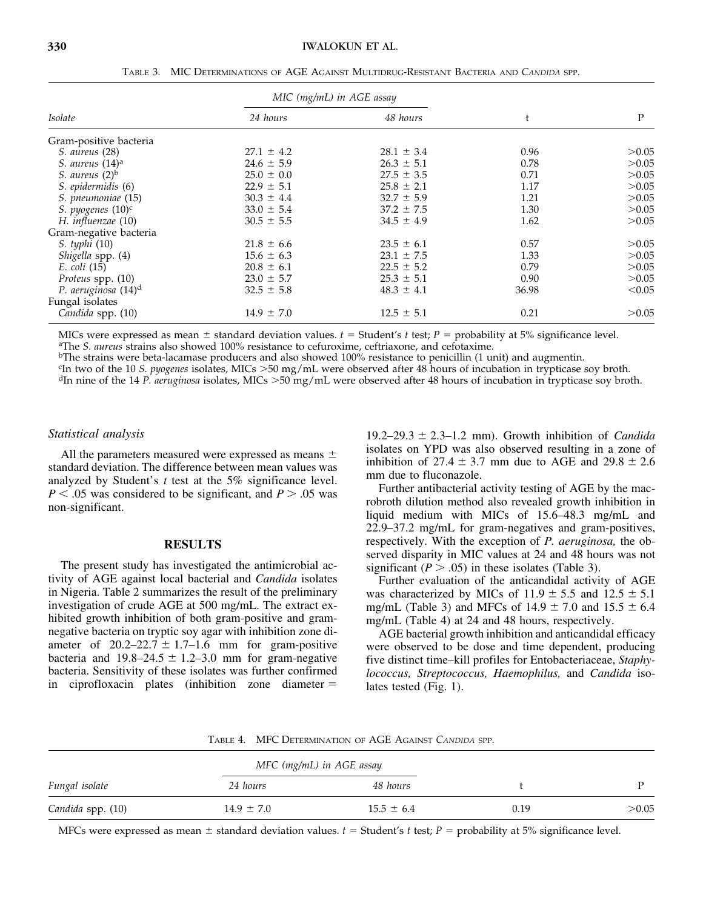|                                 | MIC (mg/mL) in AGE assay |                |       |        |
|---------------------------------|--------------------------|----------------|-------|--------|
| <i>Isolate</i>                  | 24 hours                 | 48 hours       | t     | P      |
| Gram-positive bacteria          |                          |                |       |        |
| <i>S. aureus</i> (28)           | $27.1 \pm 4.2$           | $28.1 \pm 3.4$ | 0.96  | >0.05  |
| S. aureus (14) <sup>a</sup>     | $24.6 \pm 5.9$           | $26.3 \pm 5.1$ | 0.78  | >0.05  |
| S. aureus $(2)^b$               | $25.0 \pm 0.0$           | $27.5 \pm 3.5$ | 0.71  | >0.05  |
| S. epidermidis (6)              | $22.9 \pm 5.1$           | $25.8 \pm 2.1$ | 1.17  | >0.05  |
| S. pneumoniae (15)              | $30.3 \pm 4.4$           | $32.7 \pm 5.9$ | 1.21  | >0.05  |
| S. pyogenes (10) <sup>c</sup>   | $33.0 \pm 5.4$           | $37.2 \pm 7.5$ | 1.30  | >0.05  |
| H. influenzae (10)              | $30.5 \pm 5.5$           | $34.5 \pm 4.9$ | 1.62  | >0.05  |
| Gram-negative bacteria          |                          |                |       |        |
| <i>S.</i> typhi (10)            | $21.8 \pm 6.6$           | $23.5 \pm 6.1$ | 0.57  | >0.05  |
| Shigella spp. (4)               | $15.6 \pm 6.3$           | $23.1 \pm 7.5$ | 1.33  | >0.05  |
| E. coli (15)                    | $20.8 \pm 6.1$           | $22.5 \pm 5.2$ | 0.79  | >0.05  |
| <i>Proteus spp.</i> (10)        | $23.0 \pm 5.7$           | $25.3 \pm 5.1$ | 0.90  | >0.05  |
| P. aeruginosa (14) <sup>d</sup> | $32.5 \pm 5.8$           | $48.3 \pm 4.1$ | 36.98 | < 0.05 |
| Fungal isolates                 |                          |                |       |        |
| Candida spp. (10)               | $14.9 \pm 7.0$           | $12.5 \pm 5.1$ | 0.21  | >0.05  |

TABLE 3. MIC DETERMINATIONS OF AGE AGAINST MULTIDRUG-RESISTANT BACTERIA AND *CANDIDA* SPP.

MICs were expressed as mean  $\pm$  standard deviation values.  $t =$  Student's  $t$  test;  $P =$  probability at 5% significance level. <sup>a</sup>The *S. aureus* strains also showed 100% resistance to cefuroxime, ceftriaxone, and cefotaxime.

<sup>b</sup>The strains were beta-lacamase producers and also showed 100% resistance to penicillin (1 unit) and augmentin.

<sup>c</sup>In two of the 10 *S. pyogenes* isolates, MICs >50 mg/mL were observed after 48 hours of incubation in trypticase soy broth.

<sup>d</sup>In nine of the 14 *P. aeruginosa* isolates, MICs >50 mg/mL were observed after 48 hours of incubation in trypticase soy broth.

### *Statistical analysis*

All the parameters measured were expressed as means  $\pm$ standard deviation. The difference between mean values was analyzed by Student's *t* test at the 5% significance level.  $P < .05$  was considered to be significant, and  $P > .05$  was non-significant.

### **RESULTS**

The present study has investigated the antimicrobial activity of AGE against local bacterial and *Candida* isolates in Nigeria. Table 2 summarizes the result of the preliminary investigation of crude AGE at 500 mg/mL. The extract exhibited growth inhibition of both gram-positive and gramnegative bacteria on tryptic soy agar with inhibition zone diameter of  $20.2-22.7 \pm 1.7-1.6$  mm for gram-positive bacteria and  $19.8-24.5 \pm 1.2-3.0$  mm for gram-negative bacteria. Sensitivity of these isolates was further confirmed in ciprofloxacin plates (inhibition zone diameter  $=$ 

 $19.2-29.3 \pm 2.3-1.2$  mm). Growth inhibition of *Candida* isolates on YPD was also observed resulting in a zone of inhibition of 27.4  $\pm$  3.7 mm due to AGE and 29.8  $\pm$  2.6 mm due to fluconazole.

Further antibacterial activity testing of AGE by the macrobroth dilution method also revealed growth inhibition in liquid medium with MICs of 15.6–48.3 mg/mL and 22.9–37.2 mg/mL for gram-negatives and gram-positives, respectively. With the exception of *P. aeruginosa,* the observed disparity in MIC values at 24 and 48 hours was not significant ( $P > .05$ ) in these isolates (Table 3).

Further evaluation of the anticandidal activity of AGE was characterized by MICs of 11.9  $\pm$  5.5 and 12.5  $\pm$  5.1 mg/mL (Table 3) and MFCs of  $14.9 \pm 7.0$  and  $15.5 \pm 6.4$ mg/mL (Table 4) at 24 and 48 hours, respectively.

AGE bacterial growth inhibition and anticandidal efficacy were observed to be dose and time dependent, producing five distinct time–kill profiles for Entobacteriaceae, *Staphylococcus, Streptococcus, Haemophilus,* and *Candida* isolates tested (Fig. 1).

TABLE 4. MFC DETERMINATION OF AGE AGAINST *CANDIDA* SPP.

|                   |                | MFC (mg/mL) in AGE assay |      |       |
|-------------------|----------------|--------------------------|------|-------|
| Fungal isolate    | 24 hours       | 48 hours                 |      |       |
| Candida spp. (10) | $14.9 \pm 7.0$ | $15.5 \pm 6.4$           | 0.19 | >0.05 |

MFCs were expressed as mean  $\pm$  standard deviation values.  $t =$  Student's  $t$  test;  $P =$  probability at 5% significance level.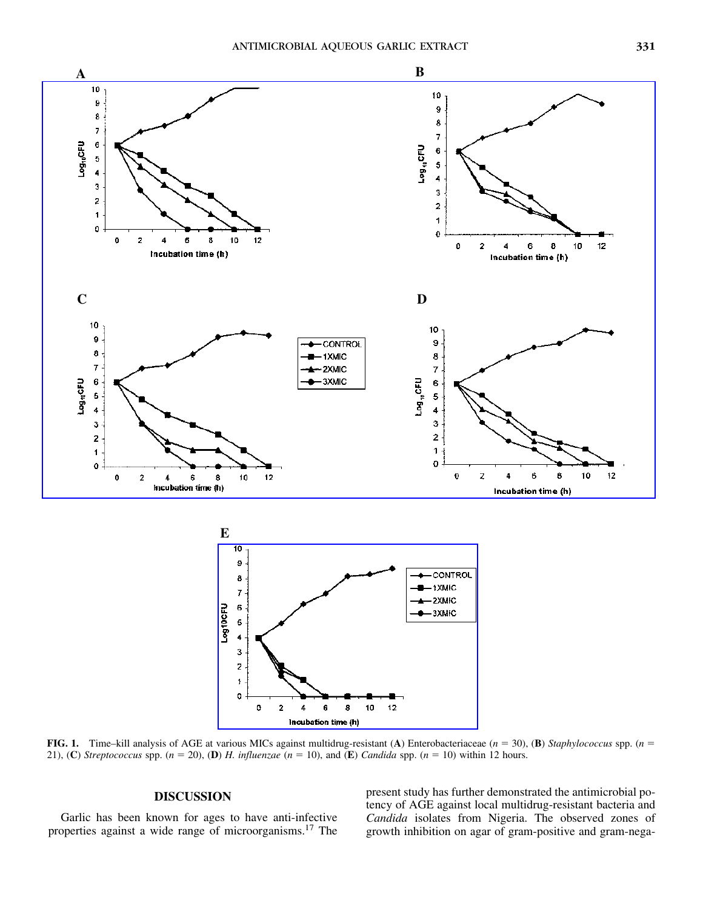

**FIG. 1.** Time–kill analysis of AGE at various MICs against multidrug-resistant (**A**) Enterobacteriaceae (*n* 5 30), (**B**) *Staphylococcus* spp. (*n* 5 21), (C) *Streptococcus* spp.  $(n = 20)$ , (D) *H. influenzae*  $(n = 10)$ , and (**E**) *Candida* spp.  $(n = 10)$  within 12 hours.

Incubation time (h)

# **DISCUSSION**

Garlic has been known for ages to have anti-infective properties against a wide range of microorganisms.<sup>17</sup> The present study has further demonstrated the antimicrobial potency of AGE against local multidrug-resistant bacteria and *Candida* isolates from Nigeria. The observed zones of growth inhibition on agar of gram-positive and gram-nega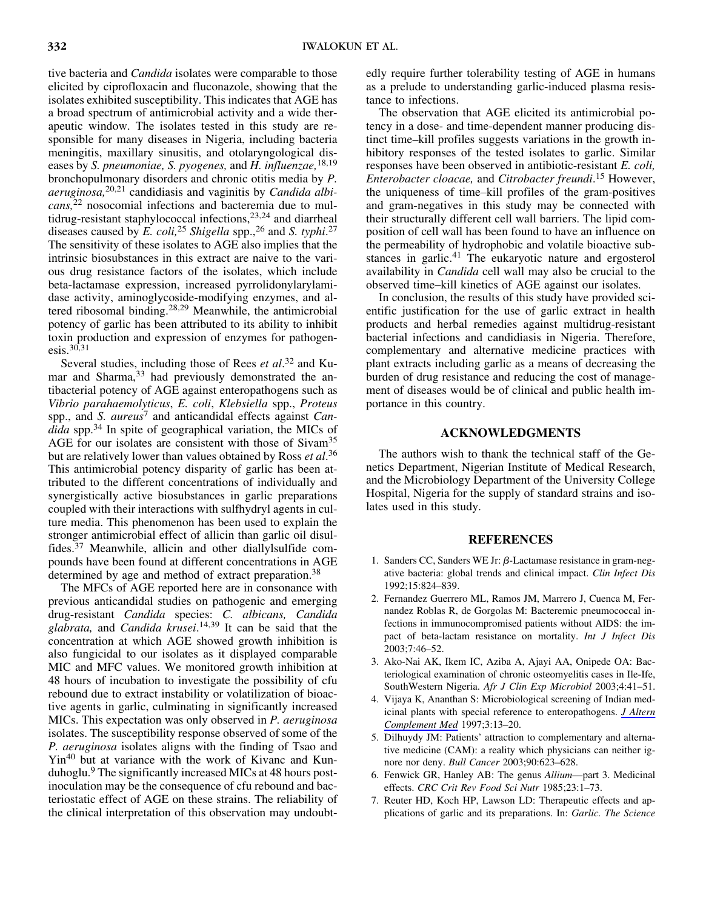tive bacteria and *Candida* isolates were comparable to those elicited by ciprofloxacin and fluconazole, showing that the isolates exhibited susceptibility. This indicates that AGE has a broad spectrum of antimicrobial activity and a wide therapeutic window. The isolates tested in this study are responsible for many diseases in Nigeria, including bacteria meningitis, maxillary sinusitis, and otolaryngological diseases by *S. pneumoniae, S. pyogenes,* and *H. influenzae,*18,19 bronchopulmonary disorders and chronic otitis media by *P. aeruginosa,*20,21 candidiasis and vaginitis by *Candida albicans,*<sup>22</sup> nosocomial infections and bacteremia due to multidrug-resistant staphylococcal infections,<sup>23,24</sup> and diarrheal diseases caused by *E. coli,*<sup>25</sup> *Shigella* spp.,<sup>26</sup> and *S. typhi*. 27 The sensitivity of these isolates to AGE also implies that the intrinsic biosubstances in this extract are naive to the various drug resistance factors of the isolates, which include beta-lactamase expression, increased pyrrolidonylarylamidase activity, aminoglycoside-modifying enzymes, and altered ribosomal binding.28,29 Meanwhile, the antimicrobial potency of garlic has been attributed to its ability to inhibit toxin production and expression of enzymes for pathogen- $\text{esis.}^{30,31}$ 

Several studies, including those of Rees *et al*. <sup>32</sup> and Kumar and Sharma,<sup>33</sup> had previously demonstrated the antibacterial potency of AGE against enteropathogens such as *Vibrio parahaemolyticus*, *E. coli*, *Klebsiella* spp., *Proteus* spp., and *S. aureus*<sup>7</sup> and anticandidal effects against *Candida* spp.<sup>34</sup> In spite of geographical variation, the MICs of AGE for our isolates are consistent with those of Sivam<sup>35</sup> but are relatively lower than values obtained by Ross *et al*. 36 This antimicrobial potency disparity of garlic has been attributed to the different concentrations of individually and synergistically active biosubstances in garlic preparations coupled with their interactions with sulfhydryl agents in culture media. This phenomenon has been used to explain the stronger antimicrobial effect of allicin than garlic oil disulfides.<sup>37</sup> Meanwhile, allicin and other diallylsulfide compounds have been found at different concentrations in AGE determined by age and method of extract preparation.<sup>38</sup>

The MFCs of AGE reported here are in consonance with previous anticandidal studies on pathogenic and emerging drug-resistant *Candida* species: *C. albicans, Candida glabrata,* and *Candida krusei*. 14,39 It can be said that the concentration at which AGE showed growth inhibition is also fungicidal to our isolates as it displayed comparable MIC and MFC values. We monitored growth inhibition at 48 hours of incubation to investigate the possibility of cfu rebound due to extract instability or volatilization of bioactive agents in garlic, culminating in significantly increased MICs. This expectation was only observed in *P. aeruginosa* isolates. The susceptibility response observed of some of the *P. aeruginosa* isolates aligns with the finding of Tsao and Yin<sup>40</sup> but at variance with the work of Kivanc and Kunduhoglu.<sup>9</sup> The significantly increased MICs at 48 hours postinoculation may be the consequence of cfu rebound and bacteriostatic effect of AGE on these strains. The reliability of the clinical interpretation of this observation may undoubtedly require further tolerability testing of AGE in humans as a prelude to understanding garlic-induced plasma resistance to infections.

The observation that AGE elicited its antimicrobial potency in a dose- and time-dependent manner producing distinct time–kill profiles suggests variations in the growth inhibitory responses of the tested isolates to garlic. Similar responses have been observed in antibiotic-resistant *E. coli, Enterobacter cloacae,* and *Citrobacter freundi*. <sup>15</sup> However, the uniqueness of time–kill profiles of the gram-positives and gram-negatives in this study may be connected with their structurally different cell wall barriers. The lipid composition of cell wall has been found to have an influence on the permeability of hydrophobic and volatile bioactive substances in garlic.<sup>41</sup> The eukaryotic nature and ergosterol availability in *Candida* cell wall may also be crucial to the observed time–kill kinetics of AGE against our isolates.

In conclusion, the results of this study have provided scientific justification for the use of garlic extract in health products and herbal remedies against multidrug-resistant bacterial infections and candidiasis in Nigeria. Therefore, complementary and alternative medicine practices with plant extracts including garlic as a means of decreasing the burden of drug resistance and reducing the cost of management of diseases would be of clinical and public health importance in this country.

# **ACKNOWLEDGMENTS**

The authors wish to thank the technical staff of the Genetics Department, Nigerian Institute of Medical Research, and the Microbiology Department of the University College Hospital, Nigeria for the supply of standard strains and isolates used in this study.

### **REFERENCES**

- 1. Sanders CC, Sanders WE Jr: *b*-Lactamase resistance in gram-negative bacteria: global trends and clinical impact. *Clin Infect Dis* 1992;15:824–839.
- 2. Fernandez Guerrero ML, Ramos JM, Marrero J, Cuenca M, Fernandez Roblas R, de Gorgolas M: Bacteremic pneumococcal infections in immunocompromised patients without AIDS: the impact of beta-lactam resistance on mortality. *Int J Infect Dis* 2003;7:46–52.
- 3. Ako-Nai AK, Ikem IC, Aziba A, Ajayi AA, Onipede OA: Bacteriological examination of chronic osteomyelitis cases in Ile-Ife, SouthWestern Nigeria. *Afr J Clin Exp Microbiol* 2003;4:41–51.
- 4. Vijaya K, Ananthan S: Microbiological screening of Indian medicinal plants with special reference to enteropathogens. *J Altern Complement Med* 1997;3:13–20.
- 5. Dilhuydy JM: Patients' attraction to complementary and alternative medicine (CAM): a reality which physicians can neither ignore nor deny. *Bull Cancer* 2003;90:623–628.
- 6. Fenwick GR, Hanley AB: The genus *Allium*—part 3. Medicinal effects. *CRC Crit Rev Food Sci Nutr* 1985;23:1–73.
- 7. Reuter HD, Koch HP, Lawson LD: Therapeutic effects and applications of garlic and its preparations. In: *Garlic. The Science*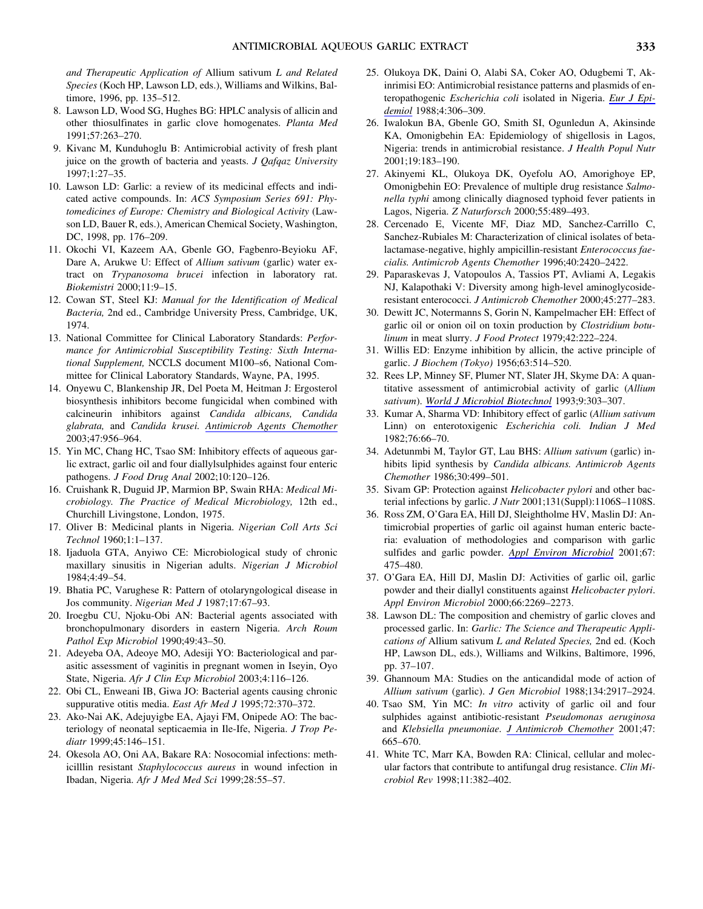*and Therapeutic Application of* Allium sativum *L and Related Species* (Koch HP, Lawson LD, eds.), Williams and Wilkins, Baltimore, 1996, pp. 135–512.

- 8. Lawson LD, Wood SG, Hughes BG: HPLC analysis of allicin and other thiosulfinates in garlic clove homogenates. *Planta Med* 1991;57:263–270.
- 9. Kivanc M, Kunduhoglu B: Antimicrobial activity of fresh plant juice on the growth of bacteria and yeasts. *J Qafqaz University* 1997;1:27–35.
- 10. Lawson LD: Garlic: a review of its medicinal effects and indicated active compounds. In: *ACS Symposium Series 691: Phytomedicines of Europe: Chemistry and Biological Activity* (Lawson LD, Bauer R, eds.), American Chemical Society, Washington, DC, 1998, pp. 176–209.
- 11. Okochi VI, Kazeem AA, Gbenle GO, Fagbenro-Beyioku AF, Dare A, Arukwe U: Effect of *Allium sativum* (garlic) water extract on *Trypanosoma brucei* infection in laboratory rat. *Biokemistri* 2000;11:9–15.
- 12. Cowan ST, Steel KJ: *Manual for the Identification of Medical Bacteria,* 2nd ed., Cambridge University Press, Cambridge, UK, 1974.
- 13. National Committee for Clinical Laboratory Standards: *Performance for Antimicrobial Susceptibility Testing: Sixth International Supplement,* NCCLS document M100–s6, National Committee for Clinical Laboratory Standards, Wayne, PA, 1995.
- 14. Onyewu C, Blankenship JR, Del Poeta M, Heitman J: Ergosterol biosynthesis inhibitors become fungicidal when combined with calcineurin inhibitors against *Candida albicans, Candida glabrata,* and *Candida krusei. Antimicrob Agents Chemother* 2003;47:956–964.
- 15. Yin MC, Chang HC, Tsao SM: Inhibitory effects of aqueous garlic extract, garlic oil and four diallylsulphides against four enteric pathogens. *J Food Drug Anal* 2002;10:120–126.
- 16. Cruishank R, Duguid JP, Marmion BP, Swain RHA: *Medical Microbiology. The Practice of Medical Microbiology,* 12th ed., Churchill Livingstone, London, 1975.
- 17. Oliver B: Medicinal plants in Nigeria. *Nigerian Coll Arts Sci Technol* 1960;1:1–137.
- 18. Ijaduola GTA, Anyiwo CE: Microbiological study of chronic maxillary sinusitis in Nigerian adults. *Nigerian J Microbiol* 1984;4:49–54.
- 19. Bhatia PC, Varughese R: Pattern of otolaryngological disease in Jos community. *Nigerian Med J* 1987;17:67–93.
- 20. Iroegbu CU, Njoku-Obi AN: Bacterial agents associated with bronchopulmonary disorders in eastern Nigeria. *Arch Roum Pathol Exp Microbiol* 1990;49:43–50.
- 21. Adeyeba OA, Adeoye MO, Adesiji YO: Bacteriological and parasitic assessment of vaginitis in pregnant women in Iseyin, Oyo State, Nigeria. *Afr J Clin Exp Microbiol* 2003;4:116–126.
- 22. Obi CL, Enweani IB, Giwa JO: Bacterial agents causing chronic suppurative otitis media. *East Afr Med J* 1995;72:370–372.
- 23. Ako-Nai AK, Adejuyigbe EA, Ajayi FM, Onipede AO: The bacteriology of neonatal septicaemia in Ile-Ife, Nigeria. *J Trop Pediatr* 1999;45:146–151.
- 24. Okesola AO, Oni AA, Bakare RA: Nosocomial infections: methicilllin resistant *Staphylococcus aureus* in wound infection in Ibadan, Nigeria. *Afr J Med Med Sci* 1999;28:55–57.
- 25. Olukoya DK, Daini O, Alabi SA, Coker AO, Odugbemi T, Akinrimisi EO: Antimicrobial resistance patterns and plasmids of enteropathogenic *Escherichia coli* isolated in Nigeria. *Eur J Epidemiol* 1988;4:306–309.
- 26. Iwalokun BA, Gbenle GO, Smith SI, Ogunledun A, Akinsinde KA, Omonigbehin EA: Epidemiology of shigellosis in Lagos, Nigeria: trends in antimicrobial resistance. *J Health Popul Nutr* 2001;19:183–190.
- 27. Akinyemi KL, Olukoya DK, Oyefolu AO, Amorighoye EP, Omonigbehin EO: Prevalence of multiple drug resistance *Salmonella typhi* among clinically diagnosed typhoid fever patients in Lagos, Nigeria. *Z Naturforsch* 2000;55:489–493.
- 28. Cercenado E, Vicente MF, Diaz MD, Sanchez-Carrillo C, Sanchez-Rubiales M: Characterization of clinical isolates of betalactamase-negative, highly ampicillin-resistant *Enterococcus faecialis. Antimicrob Agents Chemother* 1996;40:2420–2422.
- 29. Paparaskevas J, Vatopoulos A, Tassios PT, Avliami A, Legakis NJ, Kalapothaki V: Diversity among high-level aminoglycosideresistant enterococci. *J Antimicrob Chemother* 2000;45:277–283.
- 30. Dewitt JC, Notermanns S, Gorin N, Kampelmacher EH: Effect of garlic oil or onion oil on toxin production by *Clostridium botulinum* in meat slurry. *J Food Protect* 1979;42:222–224.
- 31. Willis ED: Enzyme inhibition by allicin, the active principle of garlic. *J Biochem (Tokyo)* 1956;63:514–520.
- 32. Rees LP, Minney SF, Plumer NT, Slater JH, Skyme DA: A quantitative assessment of antimicrobial activity of garlic (*Allium sativum*). *World J Microbiol Biotechnol* 1993;9:303–307.
- 33. Kumar A, Sharma VD: Inhibitory effect of garlic (*Allium sativum* Linn) on enterotoxigenic *Escherichia coli. Indian J Med* 1982;76:66–70.
- 34. Adetunmbi M, Taylor GT, Lau BHS: *Allium sativum* (garlic) inhibits lipid synthesis by *Candida albicans. Antimicrob Agents Chemother* 1986;30:499–501.
- 35. Sivam GP: Protection against *Helicobacter pylori* and other bacterial infections by garlic. *J Nutr* 2001;131(Suppl):1106S–1108S.
- 36. Ross ZM, O'Gara EA, Hill DJ, Sleightholme HV, Maslin DJ: Antimicrobial properties of garlic oil against human enteric bacteria: evaluation of methodologies and comparison with garlic sulfides and garlic powder. *Appl Environ Microbiol* 2001;67: 475–480.
- 37. O'Gara EA, Hill DJ, Maslin DJ: Activities of garlic oil, garlic powder and their diallyl constituents against *Helicobacter pylori*. *Appl Environ Microbiol* 2000;66:2269–2273.
- 38. Lawson DL: The composition and chemistry of garlic cloves and processed garlic. In: *Garlic: The Science and Therapeutic Applications of* Allium sativum *L and Related Species,* 2nd ed. (Koch HP, Lawson DL, eds.), Williams and Wilkins, Baltimore, 1996, pp. 37–107.
- 39. Ghannoum MA: Studies on the anticandidal mode of action of *Allium sativum* (garlic). *J Gen Microbiol* 1988;134:2917–2924.
- 40. Tsao SM, Yin MC: *In vitro* activity of garlic oil and four sulphides against antibiotic-resistant *Pseudomonas aeruginosa* and *Klebsiella pneumoniae. J Antimicrob Chemother* 2001;47: 665–670.
- 41. White TC, Marr KA, Bowden RA: Clinical, cellular and molecular factors that contribute to antifungal drug resistance. *Clin Microbiol Rev* 1998;11:382–402.